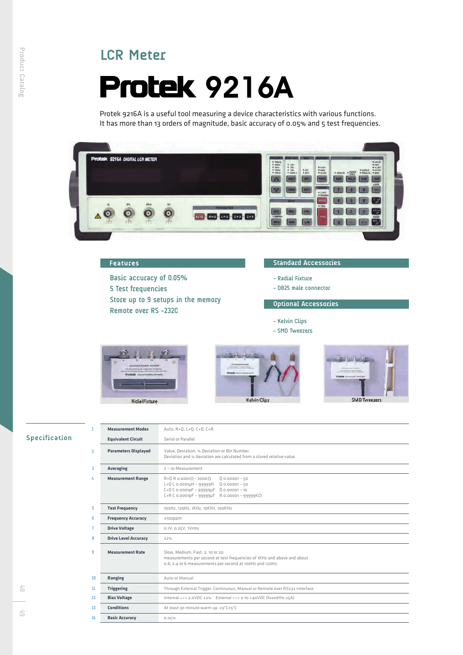# **LCR Meter**

# **Protek 9216A**

Protek 9216A is a useful tool measuring a device characteristics with various functions. It has more than 13 orders of magnitude, basic accuracy of 0.05% and 5 test frequencies.



| <b>Features</b> |  |  |
|-----------------|--|--|
|                 |  |  |

**Basic accuracy of 0.05% 5 Test frequencies Store up to 9 setups in the memory Remote over RS -232C**

#### **Standard Accessories**

- **Radial Fixture**
- **DB25 male connector**

# **Optional Accessories**

- **Kelvin Clips**
- **SMD Tweezers**







# Specification

| T.             | <b>Measurement Modes</b>    | Auto, R+0, L+0, C+D, C+R                                                                                                                                                                                                      |  |  |
|----------------|-----------------------------|-------------------------------------------------------------------------------------------------------------------------------------------------------------------------------------------------------------------------------|--|--|
|                | <b>Equivalent Circuit</b>   | Serial or Parallel                                                                                                                                                                                                            |  |  |
| $\overline{2}$ | <b>Parameters Displayed</b> | Value, Deviation, % Deviation or Bin Number.<br>Deviation and % deviation are calculated from a stored relative value.                                                                                                        |  |  |
| 3              | <b>Averaging</b>            | $2 \sim 10$ Measurement                                                                                                                                                                                                       |  |  |
| 4              | <b>Measurement Range</b>    | $R+Q$ R 0.0001 $\Omega$ ~ 2000 $\Omega$<br>$00.00001 - 50$<br>$L + Q L 0.0001$ µH ~ 99999H<br>$0.00001 - 50$<br>C+D C 0.0001pF ~ 99999µF<br>$D_{0.00001 - 10}$<br>$C+R$ C 0.0001pF ~ 99999uf<br>$R$ 0.00001 ~ 99999K $\Omega$ |  |  |
| 5              | <b>Test Frequency</b>       | 100Hz, 120Hz, 1KHz, 10KHz, 100KHz                                                                                                                                                                                             |  |  |
| 6              | <b>Frequency Accuracy</b>   | $±100$ ppm                                                                                                                                                                                                                    |  |  |
| 7              | <b>Drive Voltage</b>        | 0.1V, 0.25V, 1Vrms                                                                                                                                                                                                            |  |  |
| 8              | <b>Drive Level Accuracy</b> | ±2%                                                                                                                                                                                                                           |  |  |
| 9              | <b>Measurement Rate</b>     | Slow, Medium, Fast: 2, 10 or 20<br>measurements per second at test frequencies of 1KHz and above and about<br>0.6, 2.4 or 6 measurements per second at 100Hz and 120Hz.                                                       |  |  |
| 10             | Ranging                     | Auto or Manual                                                                                                                                                                                                                |  |  |
| 11             | <b>Triggering</b>           | Through External Trigger, Continuous, Manual or Remote over RS232 interface                                                                                                                                                   |  |  |
| 12             | <b>Bias Voltage</b>         | Internal == > 2.0VDC ±2% External == > 0 to +40VDC (fused@0.25A)                                                                                                                                                              |  |  |
| 13             | <b>Conditions</b>           | At least 30 minute warm up, 23°C±5°C                                                                                                                                                                                          |  |  |
| 14             | <b>Basic Accuracy</b>       | 0.05%                                                                                                                                                                                                                         |  |  |

6